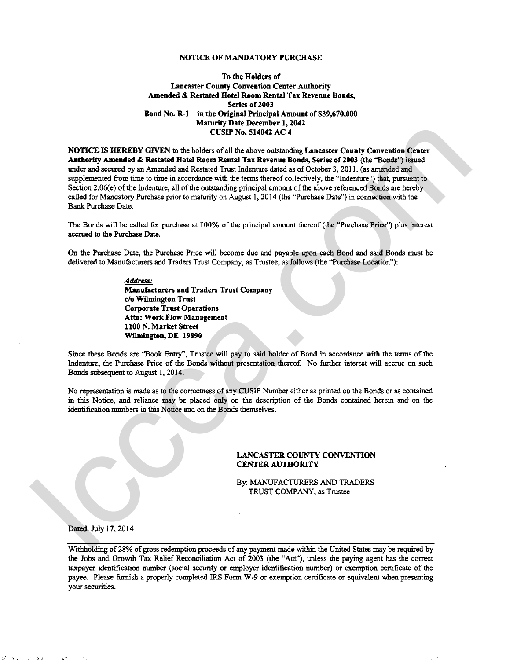## **NOTICE OF MANDATORY PURCHASE**

**To the Holders of Lancaster County Convention Center Authority Amended** & **Restated Hotel Room Rental Tax Revenue Bonds, Series of 2003 Bond No. R-1 in the Original Principal Amount of \$39,670,000 Maturity Date December 1,2042 CUSP No. 514042 AC 4** 

**NOTICE IS HEREBY GWEN ta** the holders of **all** the above outstanding **Laneester County Convention Center Authority Amended** & **Restated Hotel Room Rental Tax Revenue Bonds, Series of 2003** (the "Bonds") issued under and secured by an Amended and Restated Trust Indenture dated as of October 3, 2011, (as amended and supplemented from time to time in accordance with the terms thereof collectively, the "Indenture") that, pursuant to Section 2.06(e) of the Indenture, all of the outstanding principal amount of the above referenced Bonds are hereby called for Mandatory Purchase prior to maturity on August 1,2014 (the "Purchase Date") in connection with the **Bank** Purchase Date. **EVALUATE STEERING CATER IN A START AND A CONTRACT CATER CATER AND CONSULTER ACTIVITY CONSULTER AND CONSULTER (SIGN CONSULTER)**<br>
THE CATER AND THE CATER AND CONSULTER CONSULTER (SIGN CONSULTER) (SIGN CONSULTER) (SIGN CONS

**The** Bonds will **be** called for purchase at **100%** of the principal amount thereof (the "Purchase Price") plus interest accrued to the Purchase Date.

On the Purchase Date, the Purchase Price will become due and payable upon each Bond and said Bonds **must** be delivered to Manufacturers and Traders Trust Company, as Trustee, as follows (the "Purchase Location"):

> *Address:*  **Manufacturers and Traders Trust Company c/o Wington Trust Corporate Trust Operations Attn: Work Flow Management 1100 N. Market Street Wilmington, DE 19890**

Since these Bonds are "Book Entry", Trustee will pay to said holder of Bond in accordance with the terms of the Indenture, the Purchase Price of the Bonds without presentation thereof. No further interest will accrue on such Bonds subsequent to August 1,2014.

No representation is made as to the correctness of any CUSIP Number either as printed on the Bonds or as contained in this Notice, and reliance may be placed only on the description of the Bonds contained herein and on the identification numbers in this Notice and on the Bonds themselves.

## **LANCASTER COUNTY CONVENTION CENTER AUTHORITY**

By: MANUFACTURERS AND **TRADERS**  TRUST COMPANY, as Trustee

Dated: July 17, 2014

Withholding of 28% of gross redemption proceeds of any payment made within the United States may be required by the Jobs and Growth Tax Relief Reconciliation Act of 2003 (the "Act"), unless the paying agent has the correct taxpayer identification number (social security or employer identification number) or exemption certificate of the payee. Please **furnish** a properly completed IRS Form W-9 or exemption certificate or equivalent **when** presenting your securities.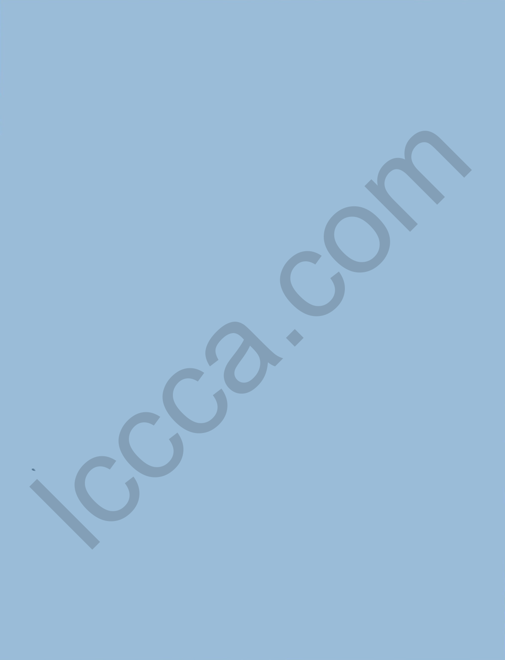lccca.com